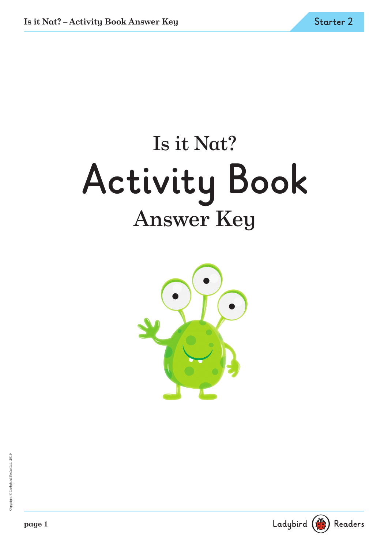# Is it Nat? **Activity Book** Answer Key



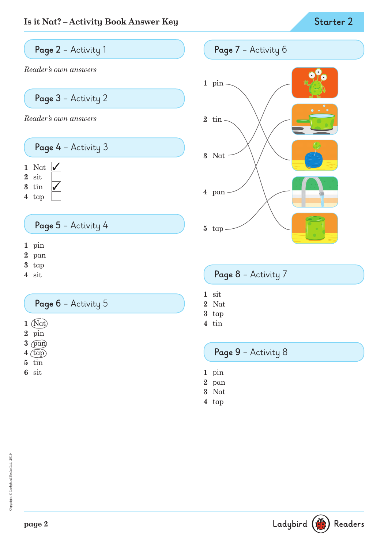



Ladybird ( Readers